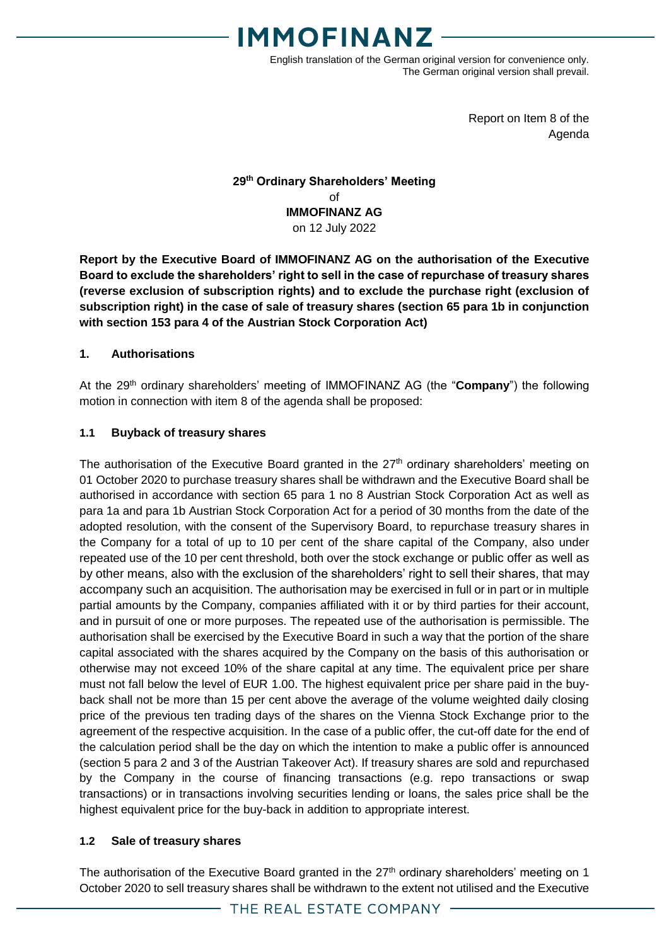

English translation of the German original version for convenience only. The German original version shall prevail.

> Report on Item 8 of the Agenda

#### **29 th Ordinary Shareholders' Meeting** of **IMMOFINANZ AG** on 12 July 2022

**Report by the Executive Board of IMMOFINANZ AG on the authorisation of the Executive Board to exclude the shareholders' right to sell in the case of repurchase of treasury shares (reverse exclusion of subscription rights) and to exclude the purchase right (exclusion of subscription right) in the case of sale of treasury shares (section 65 para 1b in conjunction with section 153 para 4 of the Austrian Stock Corporation Act)**

#### **1. Authorisations**

At the 29<sup>th</sup> ordinary shareholders' meeting of IMMOFINANZ AG (the "**Company**") the following motion in connection with item 8 of the agenda shall be proposed:

#### **1.1 Buyback of treasury shares**

The authorisation of the Executive Board granted in the 27<sup>th</sup> ordinary shareholders' meeting on 01 October 2020 to purchase treasury shares shall be withdrawn and the Executive Board shall be authorised in accordance with section 65 para 1 no 8 Austrian Stock Corporation Act as well as para 1a and para 1b Austrian Stock Corporation Act for a period of 30 months from the date of the adopted resolution, with the consent of the Supervisory Board, to repurchase treasury shares in the Company for a total of up to 10 per cent of the share capital of the Company, also under repeated use of the 10 per cent threshold, both over the stock exchange or public offer as well as by other means, also with the exclusion of the shareholders' right to sell their shares, that may accompany such an acquisition. The authorisation may be exercised in full or in part or in multiple partial amounts by the Company, companies affiliated with it or by third parties for their account, and in pursuit of one or more purposes. The repeated use of the authorisation is permissible. The authorisation shall be exercised by the Executive Board in such a way that the portion of the share capital associated with the shares acquired by the Company on the basis of this authorisation or otherwise may not exceed 10% of the share capital at any time. The equivalent price per share must not fall below the level of EUR 1.00. The highest equivalent price per share paid in the buyback shall not be more than 15 per cent above the average of the volume weighted daily closing price of the previous ten trading days of the shares on the Vienna Stock Exchange prior to the agreement of the respective acquisition. In the case of a public offer, the cut-off date for the end of the calculation period shall be the day on which the intention to make a public offer is announced (section 5 para 2 and 3 of the Austrian Takeover Act). If treasury shares are sold and repurchased by the Company in the course of financing transactions (e.g. repo transactions or swap transactions) or in transactions involving securities lending or loans, the sales price shall be the highest equivalent price for the buy-back in addition to appropriate interest.

#### **1.2 Sale of treasury shares**

The authorisation of the Executive Board granted in the 27<sup>th</sup> ordinary shareholders' meeting on 1 October 2020 to sell treasury shares shall be withdrawn to the extent not utilised and the Executive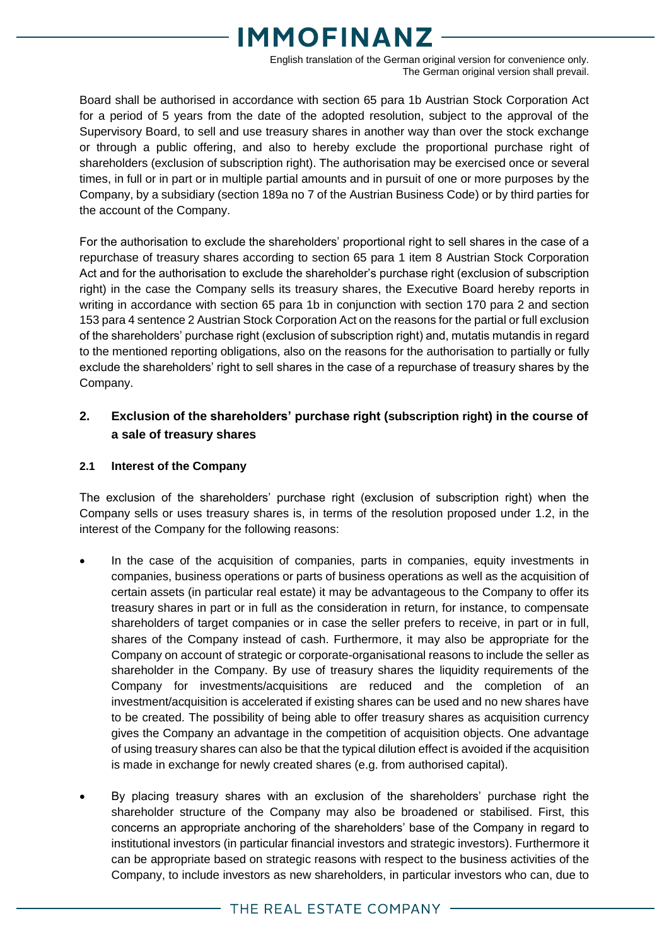English translation of the German original version for convenience only. The German original version shall prevail.

Board shall be authorised in accordance with section 65 para 1b Austrian Stock Corporation Act for a period of 5 years from the date of the adopted resolution, subject to the approval of the Supervisory Board, to sell and use treasury shares in another way than over the stock exchange or through a public offering, and also to hereby exclude the proportional purchase right of shareholders (exclusion of subscription right). The authorisation may be exercised once or several times, in full or in part or in multiple partial amounts and in pursuit of one or more purposes by the Company, by a subsidiary (section 189a no 7 of the Austrian Business Code) or by third parties for the account of the Company.

For the authorisation to exclude the shareholders' proportional right to sell shares in the case of a repurchase of treasury shares according to section 65 para 1 item 8 Austrian Stock Corporation Act and for the authorisation to exclude the shareholder's purchase right (exclusion of subscription right) in the case the Company sells its treasury shares, the Executive Board hereby reports in writing in accordance with section 65 para 1b in conjunction with section 170 para 2 and section 153 para 4 sentence 2 Austrian Stock Corporation Act on the reasons for the partial or full exclusion of the shareholders' purchase right (exclusion of subscription right) and, mutatis mutandis in regard to the mentioned reporting obligations, also on the reasons for the authorisation to partially or fully exclude the shareholders' right to sell shares in the case of a repurchase of treasury shares by the Company.

### **2. Exclusion of the shareholders' purchase right (subscription right) in the course of a sale of treasury shares**

#### **2.1 Interest of the Company**

The exclusion of the shareholders' purchase right (exclusion of subscription right) when the Company sells or uses treasury shares is, in terms of the resolution proposed under 1.2, in the interest of the Company for the following reasons:

- In the case of the acquisition of companies, parts in companies, equity investments in companies, business operations or parts of business operations as well as the acquisition of certain assets (in particular real estate) it may be advantageous to the Company to offer its treasury shares in part or in full as the consideration in return, for instance, to compensate shareholders of target companies or in case the seller prefers to receive, in part or in full, shares of the Company instead of cash. Furthermore, it may also be appropriate for the Company on account of strategic or corporate-organisational reasons to include the seller as shareholder in the Company. By use of treasury shares the liquidity requirements of the Company for investments/acquisitions are reduced and the completion of an investment/acquisition is accelerated if existing shares can be used and no new shares have to be created. The possibility of being able to offer treasury shares as acquisition currency gives the Company an advantage in the competition of acquisition objects. One advantage of using treasury shares can also be that the typical dilution effect is avoided if the acquisition is made in exchange for newly created shares (e.g. from authorised capital).
- By placing treasury shares with an exclusion of the shareholders' purchase right the shareholder structure of the Company may also be broadened or stabilised. First, this concerns an appropriate anchoring of the shareholders' base of the Company in regard to institutional investors (in particular financial investors and strategic investors). Furthermore it can be appropriate based on strategic reasons with respect to the business activities of the Company, to include investors as new shareholders, in particular investors who can, due to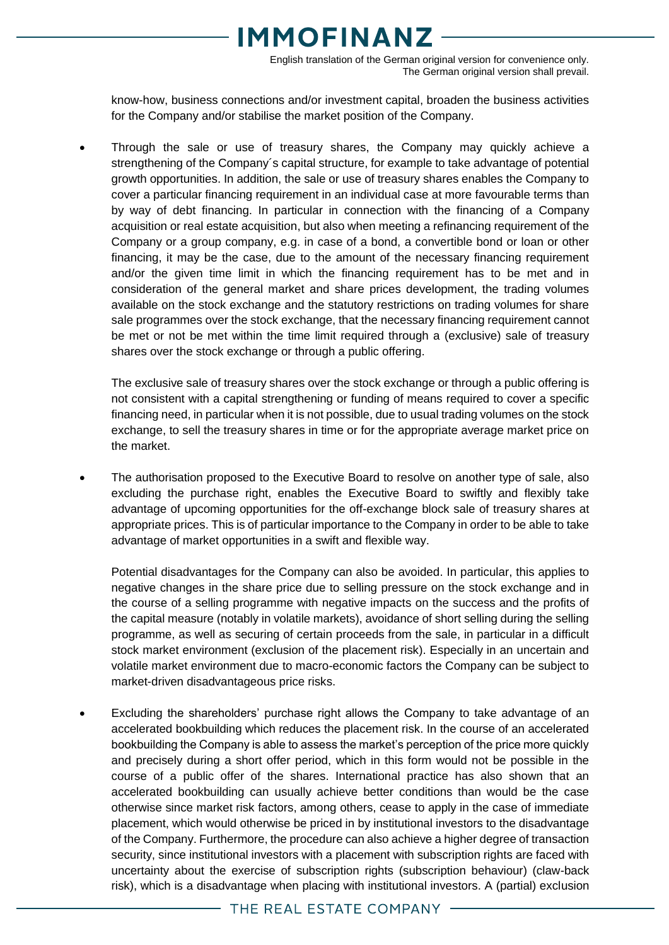English translation of the German original version for convenience only. The German original version shall prevail.

know-how, business connections and/or investment capital, broaden the business activities for the Company and/or stabilise the market position of the Company.

 Through the sale or use of treasury shares, the Company may quickly achieve a strengthening of the Company´s capital structure, for example to take advantage of potential growth opportunities. In addition, the sale or use of treasury shares enables the Company to cover a particular financing requirement in an individual case at more favourable terms than by way of debt financing. In particular in connection with the financing of a Company acquisition or real estate acquisition, but also when meeting a refinancing requirement of the Company or a group company, e.g. in case of a bond, a convertible bond or loan or other financing, it may be the case, due to the amount of the necessary financing requirement and/or the given time limit in which the financing requirement has to be met and in consideration of the general market and share prices development, the trading volumes available on the stock exchange and the statutory restrictions on trading volumes for share sale programmes over the stock exchange, that the necessary financing requirement cannot be met or not be met within the time limit required through a (exclusive) sale of treasury shares over the stock exchange or through a public offering.

The exclusive sale of treasury shares over the stock exchange or through a public offering is not consistent with a capital strengthening or funding of means required to cover a specific financing need, in particular when it is not possible, due to usual trading volumes on the stock exchange, to sell the treasury shares in time or for the appropriate average market price on the market.

 The authorisation proposed to the Executive Board to resolve on another type of sale, also excluding the purchase right, enables the Executive Board to swiftly and flexibly take advantage of upcoming opportunities for the off-exchange block sale of treasury shares at appropriate prices. This is of particular importance to the Company in order to be able to take advantage of market opportunities in a swift and flexible way.

Potential disadvantages for the Company can also be avoided. In particular, this applies to negative changes in the share price due to selling pressure on the stock exchange and in the course of a selling programme with negative impacts on the success and the profits of the capital measure (notably in volatile markets), avoidance of short selling during the selling programme, as well as securing of certain proceeds from the sale, in particular in a difficult stock market environment (exclusion of the placement risk). Especially in an uncertain and volatile market environment due to macro-economic factors the Company can be subject to market-driven disadvantageous price risks.

 Excluding the shareholders' purchase right allows the Company to take advantage of an accelerated bookbuilding which reduces the placement risk. In the course of an accelerated bookbuilding the Company is able to assess the market's perception of the price more quickly and precisely during a short offer period, which in this form would not be possible in the course of a public offer of the shares. International practice has also shown that an accelerated bookbuilding can usually achieve better conditions than would be the case otherwise since market risk factors, among others, cease to apply in the case of immediate placement, which would otherwise be priced in by institutional investors to the disadvantage of the Company. Furthermore, the procedure can also achieve a higher degree of transaction security, since institutional investors with a placement with subscription rights are faced with uncertainty about the exercise of subscription rights (subscription behaviour) (claw-back risk), which is a disadvantage when placing with institutional investors. A (partial) exclusion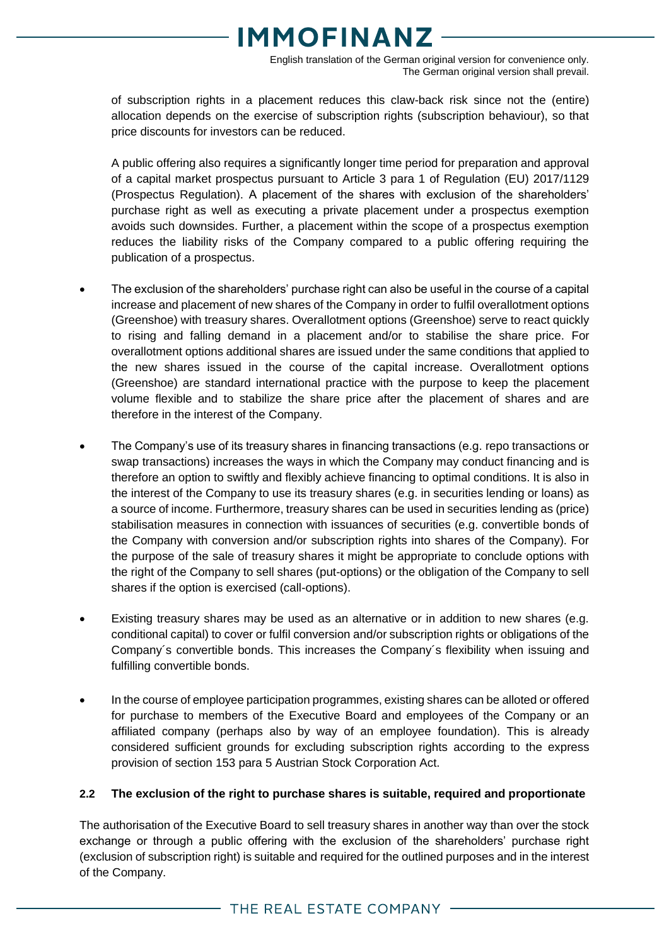English translation of the German original version for convenience only. The German original version shall prevail.

of subscription rights in a placement reduces this claw-back risk since not the (entire) allocation depends on the exercise of subscription rights (subscription behaviour), so that price discounts for investors can be reduced.

A public offering also requires a significantly longer time period for preparation and approval of a capital market prospectus pursuant to Article 3 para 1 of Regulation (EU) 2017/1129 (Prospectus Regulation). A placement of the shares with exclusion of the shareholders' purchase right as well as executing a private placement under a prospectus exemption avoids such downsides. Further, a placement within the scope of a prospectus exemption reduces the liability risks of the Company compared to a public offering requiring the publication of a prospectus.

- The exclusion of the shareholders' purchase right can also be useful in the course of a capital increase and placement of new shares of the Company in order to fulfil overallotment options (Greenshoe) with treasury shares. Overallotment options (Greenshoe) serve to react quickly to rising and falling demand in a placement and/or to stabilise the share price. For overallotment options additional shares are issued under the same conditions that applied to the new shares issued in the course of the capital increase. Overallotment options (Greenshoe) are standard international practice with the purpose to keep the placement volume flexible and to stabilize the share price after the placement of shares and are therefore in the interest of the Company.
- The Company's use of its treasury shares in financing transactions (e.g. repo transactions or swap transactions) increases the ways in which the Company may conduct financing and is therefore an option to swiftly and flexibly achieve financing to optimal conditions. It is also in the interest of the Company to use its treasury shares (e.g. in securities lending or loans) as a source of income. Furthermore, treasury shares can be used in securities lending as (price) stabilisation measures in connection with issuances of securities (e.g. convertible bonds of the Company with conversion and/or subscription rights into shares of the Company). For the purpose of the sale of treasury shares it might be appropriate to conclude options with the right of the Company to sell shares (put-options) or the obligation of the Company to sell shares if the option is exercised (call-options).
- Existing treasury shares may be used as an alternative or in addition to new shares (e.g. conditional capital) to cover or fulfil conversion and/or subscription rights or obligations of the Company´s convertible bonds. This increases the Company´s flexibility when issuing and fulfilling convertible bonds.
- In the course of employee participation programmes, existing shares can be alloted or offered for purchase to members of the Executive Board and employees of the Company or an affiliated company (perhaps also by way of an employee foundation). This is already considered sufficient grounds for excluding subscription rights according to the express provision of section 153 para 5 Austrian Stock Corporation Act.

#### **2.2 The exclusion of the right to purchase shares is suitable, required and proportionate**

The authorisation of the Executive Board to sell treasury shares in another way than over the stock exchange or through a public offering with the exclusion of the shareholders' purchase right (exclusion of subscription right) is suitable and required for the outlined purposes and in the interest of the Company.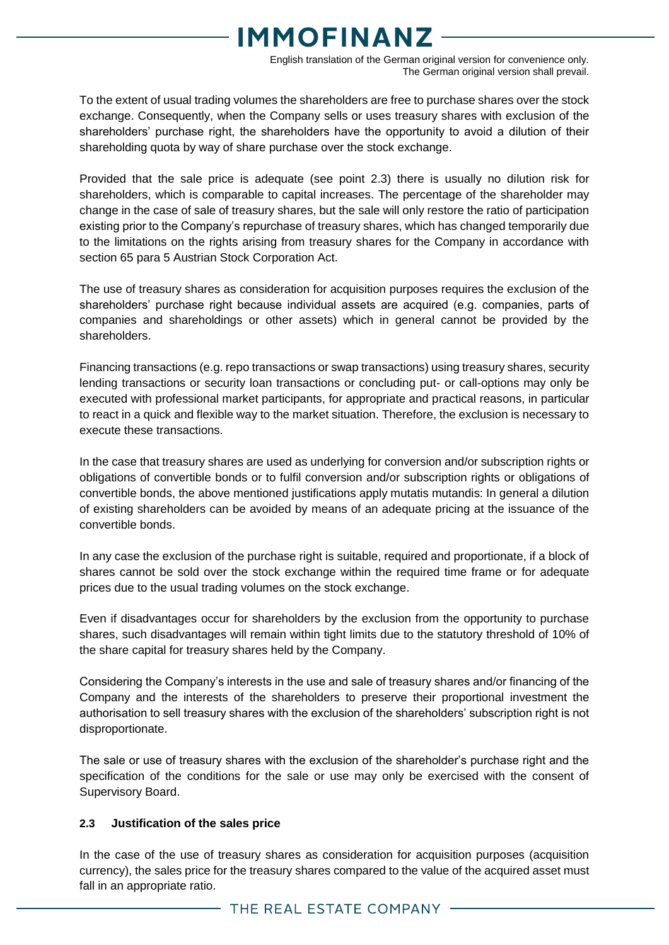English translation of the German original version for convenience only. The German original version shall prevail.

To the extent of usual trading volumes the shareholders are free to purchase shares over the stock exchange. Consequently, when the Company sells or uses treasury shares with exclusion of the shareholders' purchase right, the shareholders have the opportunity to avoid a dilution of their shareholding quota by way of share purchase over the stock exchange.

Provided that the sale price is adequate (see point 2.3) there is usually no dilution risk for shareholders, which is comparable to capital increases. The percentage of the shareholder may change in the case of sale of treasury shares, but the sale will only restore the ratio of participation existing prior to the Company's repurchase of treasury shares, which has changed temporarily due to the limitations on the rights arising from treasury shares for the Company in accordance with section 65 para 5 Austrian Stock Corporation Act.

The use of treasury shares as consideration for acquisition purposes requires the exclusion of the shareholders' purchase right because individual assets are acquired (e.g. companies, parts of companies and shareholdings or other assets) which in general cannot be provided by the shareholders.

Financing transactions (e.g. repo transactions or swap transactions) using treasury shares, security lending transactions or security loan transactions or concluding put- or call-options may only be executed with professional market participants, for appropriate and practical reasons, in particular to react in a quick and flexible way to the market situation. Therefore, the exclusion is necessary to execute these transactions.

In the case that treasury shares are used as underlying for conversion and/or subscription rights or obligations of convertible bonds or to fulfil conversion and/or subscription rights or obligations of convertible bonds, the above mentioned justifications apply mutatis mutandis: In general a dilution of existing shareholders can be avoided by means of an adequate pricing at the issuance of the convertible bonds.

In any case the exclusion of the purchase right is suitable, required and proportionate, if a block of shares cannot be sold over the stock exchange within the required time frame or for adequate prices due to the usual trading volumes on the stock exchange.

Even if disadvantages occur for shareholders by the exclusion from the opportunity to purchase shares, such disadvantages will remain within tight limits due to the statutory threshold of 10% of the share capital for treasury shares held by the Company.

Considering the Company's interests in the use and sale of treasury shares and/or financing of the Company and the interests of the shareholders to preserve their proportional investment the authorisation to sell treasury shares with the exclusion of the shareholders' subscription right is not disproportionate.

The sale or use of treasury shares with the exclusion of the shareholder's purchase right and the specification of the conditions for the sale or use may only be exercised with the consent of Supervisory Board.

#### **2.3 Justification of the sales price**

In the case of the use of treasury shares as consideration for acquisition purposes (acquisition currency), the sales price for the treasury shares compared to the value of the acquired asset must fall in an appropriate ratio.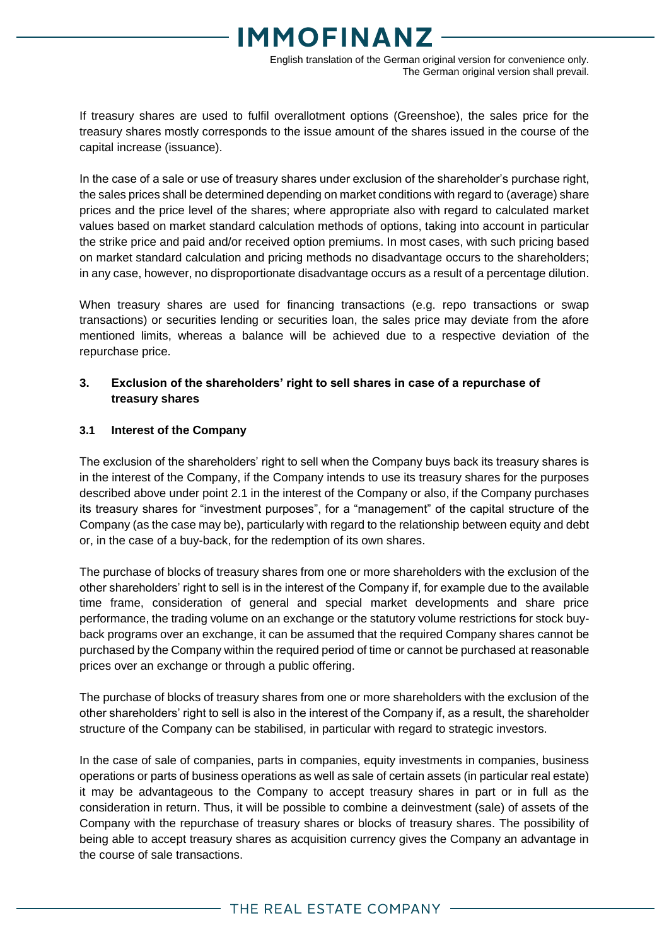English translation of the German original version for convenience only. The German original version shall prevail.

If treasury shares are used to fulfil overallotment options (Greenshoe), the sales price for the treasury shares mostly corresponds to the issue amount of the shares issued in the course of the capital increase (issuance).

In the case of a sale or use of treasury shares under exclusion of the shareholder's purchase right, the sales prices shall be determined depending on market conditions with regard to (average) share prices and the price level of the shares; where appropriate also with regard to calculated market values based on market standard calculation methods of options, taking into account in particular the strike price and paid and/or received option premiums. In most cases, with such pricing based on market standard calculation and pricing methods no disadvantage occurs to the shareholders; in any case, however, no disproportionate disadvantage occurs as a result of a percentage dilution.

When treasury shares are used for financing transactions (e.g. repo transactions or swap transactions) or securities lending or securities loan, the sales price may deviate from the afore mentioned limits, whereas a balance will be achieved due to a respective deviation of the repurchase price.

#### **3. Exclusion of the shareholders' right to sell shares in case of a repurchase of treasury shares**

#### **3.1 Interest of the Company**

The exclusion of the shareholders' right to sell when the Company buys back its treasury shares is in the interest of the Company, if the Company intends to use its treasury shares for the purposes described above under point 2.1 in the interest of the Company or also, if the Company purchases its treasury shares for "investment purposes", for a "management" of the capital structure of the Company (as the case may be), particularly with regard to the relationship between equity and debt or, in the case of a buy-back, for the redemption of its own shares.

The purchase of blocks of treasury shares from one or more shareholders with the exclusion of the other shareholders' right to sell is in the interest of the Company if, for example due to the available time frame, consideration of general and special market developments and share price performance, the trading volume on an exchange or the statutory volume restrictions for stock buyback programs over an exchange, it can be assumed that the required Company shares cannot be purchased by the Company within the required period of time or cannot be purchased at reasonable prices over an exchange or through a public offering.

The purchase of blocks of treasury shares from one or more shareholders with the exclusion of the other shareholders' right to sell is also in the interest of the Company if, as a result, the shareholder structure of the Company can be stabilised, in particular with regard to strategic investors.

In the case of sale of companies, parts in companies, equity investments in companies, business operations or parts of business operations as well as sale of certain assets (in particular real estate) it may be advantageous to the Company to accept treasury shares in part or in full as the consideration in return. Thus, it will be possible to combine a deinvestment (sale) of assets of the Company with the repurchase of treasury shares or blocks of treasury shares. The possibility of being able to accept treasury shares as acquisition currency gives the Company an advantage in the course of sale transactions.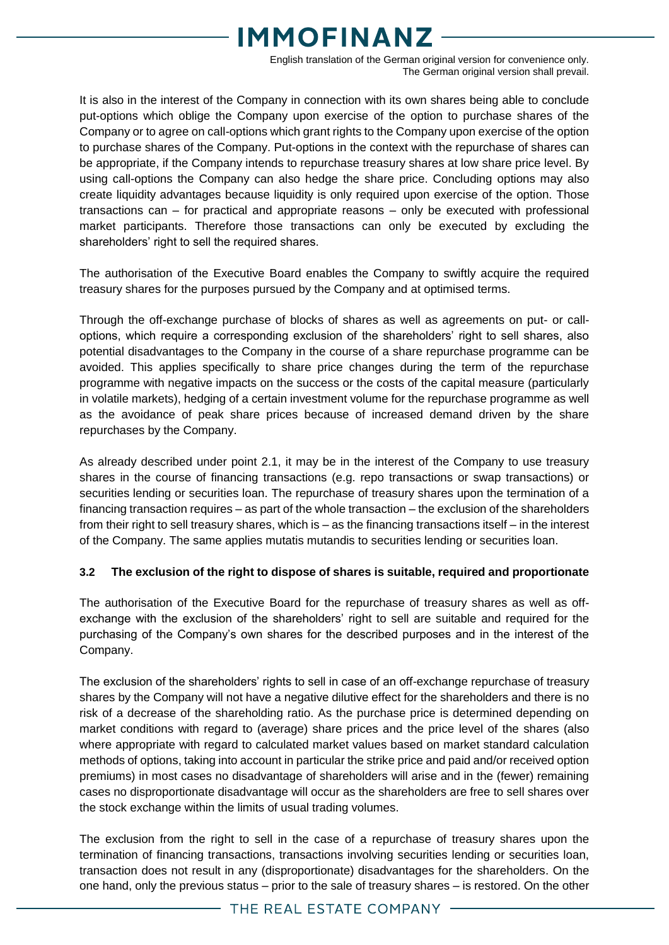English translation of the German original version for convenience only. The German original version shall prevail.

It is also in the interest of the Company in connection with its own shares being able to conclude put-options which oblige the Company upon exercise of the option to purchase shares of the Company or to agree on call-options which grant rights to the Company upon exercise of the option to purchase shares of the Company. Put-options in the context with the repurchase of shares can be appropriate, if the Company intends to repurchase treasury shares at low share price level. By using call-options the Company can also hedge the share price. Concluding options may also create liquidity advantages because liquidity is only required upon exercise of the option. Those transactions can – for practical and appropriate reasons – only be executed with professional market participants. Therefore those transactions can only be executed by excluding the shareholders' right to sell the required shares.

The authorisation of the Executive Board enables the Company to swiftly acquire the required treasury shares for the purposes pursued by the Company and at optimised terms.

Through the off-exchange purchase of blocks of shares as well as agreements on put- or calloptions, which require a corresponding exclusion of the shareholders' right to sell shares, also potential disadvantages to the Company in the course of a share repurchase programme can be avoided. This applies specifically to share price changes during the term of the repurchase programme with negative impacts on the success or the costs of the capital measure (particularly in volatile markets), hedging of a certain investment volume for the repurchase programme as well as the avoidance of peak share prices because of increased demand driven by the share repurchases by the Company.

As already described under point 2.1, it may be in the interest of the Company to use treasury shares in the course of financing transactions (e.g. repo transactions or swap transactions) or securities lending or securities loan. The repurchase of treasury shares upon the termination of a financing transaction requires – as part of the whole transaction – the exclusion of the shareholders from their right to sell treasury shares, which is – as the financing transactions itself – in the interest of the Company. The same applies mutatis mutandis to securities lending or securities loan.

#### **3.2 The exclusion of the right to dispose of shares is suitable, required and proportionate**

The authorisation of the Executive Board for the repurchase of treasury shares as well as offexchange with the exclusion of the shareholders' right to sell are suitable and required for the purchasing of the Company's own shares for the described purposes and in the interest of the Company.

The exclusion of the shareholders' rights to sell in case of an off-exchange repurchase of treasury shares by the Company will not have a negative dilutive effect for the shareholders and there is no risk of a decrease of the shareholding ratio. As the purchase price is determined depending on market conditions with regard to (average) share prices and the price level of the shares (also where appropriate with regard to calculated market values based on market standard calculation methods of options, taking into account in particular the strike price and paid and/or received option premiums) in most cases no disadvantage of shareholders will arise and in the (fewer) remaining cases no disproportionate disadvantage will occur as the shareholders are free to sell shares over the stock exchange within the limits of usual trading volumes.

The exclusion from the right to sell in the case of a repurchase of treasury shares upon the termination of financing transactions, transactions involving securities lending or securities loan, transaction does not result in any (disproportionate) disadvantages for the shareholders. On the one hand, only the previous status – prior to the sale of treasury shares – is restored. On the other